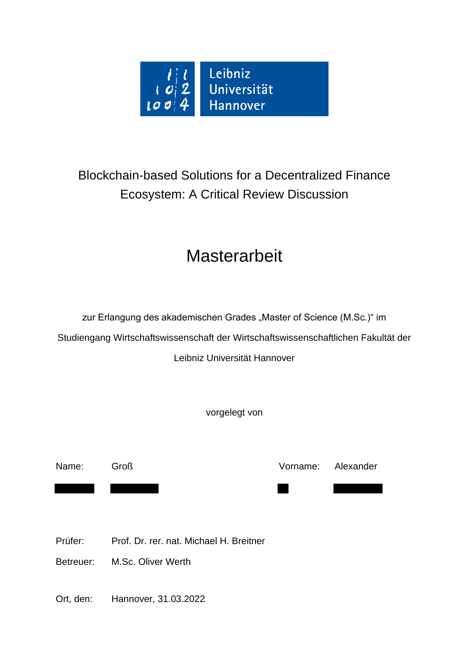

# Blockchain-based Solutions for a Decentralized Finance Ecosystem: A Critical Review Discussion

# **Masterarbeit**

zur Erlangung des akademischen Grades "Master of Science (M.Sc.)" im Studiengang Wirtschaftswissenschaft der Wirtschaftswissenschaftlichen Fakultät der Leibniz Universität Hannover

vorgelegt von

Name: Groß Vorname: Alexander

Prüfer: Prof. Dr. rer. nat. Michael H. Breitner

Betreuer: M.Sc. Oliver Werth

Ort, den: Hannover, 31.03.2022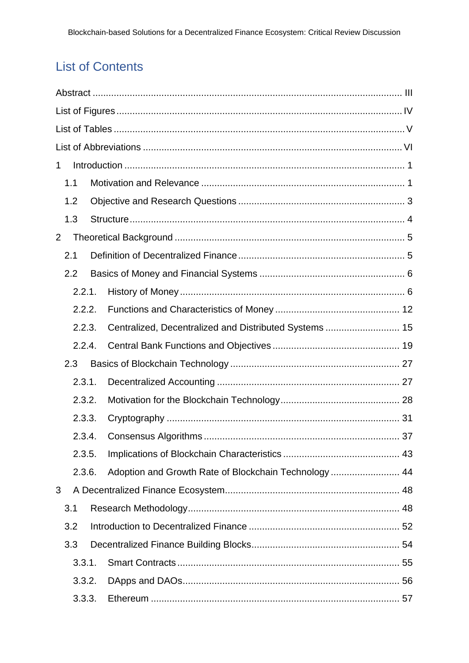# **List of Contents**

| 1 |                            |        |  |                                                        |  |  |  |  |
|---|----------------------------|--------|--|--------------------------------------------------------|--|--|--|--|
|   | 1.1                        |        |  |                                                        |  |  |  |  |
|   | 1.2                        |        |  |                                                        |  |  |  |  |
|   | 1.3                        |        |  |                                                        |  |  |  |  |
| 2 |                            |        |  |                                                        |  |  |  |  |
|   |                            | 2.1    |  |                                                        |  |  |  |  |
|   | 2.2                        |        |  |                                                        |  |  |  |  |
|   |                            | 2.2.1. |  |                                                        |  |  |  |  |
|   |                            | 2.2.2. |  |                                                        |  |  |  |  |
|   |                            | 2.2.3. |  | Centralized, Decentralized and Distributed Systems  15 |  |  |  |  |
|   |                            | 2.2.4. |  |                                                        |  |  |  |  |
|   | 2.3                        |        |  |                                                        |  |  |  |  |
|   |                            | 2.3.1. |  |                                                        |  |  |  |  |
|   | 2.3.2.                     |        |  |                                                        |  |  |  |  |
|   |                            | 2.3.3. |  |                                                        |  |  |  |  |
|   | 2.3.4.<br>2.3.5.<br>2.3.6. |        |  |                                                        |  |  |  |  |
|   |                            |        |  |                                                        |  |  |  |  |
|   |                            |        |  | Adoption and Growth Rate of Blockchain Technology  44  |  |  |  |  |
| 3 |                            |        |  |                                                        |  |  |  |  |
|   | 3.1                        |        |  |                                                        |  |  |  |  |
|   |                            | 3.2    |  |                                                        |  |  |  |  |
|   | 3.3                        |        |  |                                                        |  |  |  |  |
|   |                            | 3.3.1. |  |                                                        |  |  |  |  |
|   |                            | 3.3.2. |  |                                                        |  |  |  |  |
|   |                            | 3.3.3. |  |                                                        |  |  |  |  |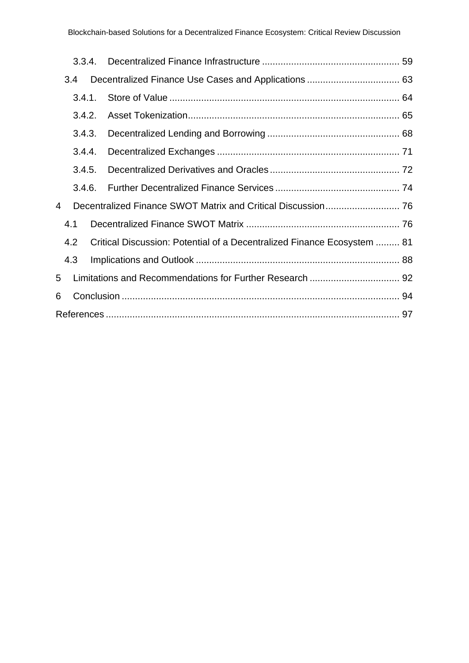|   | 3.3.4. |  |                                                                         |  |  |  |  |  |  |
|---|--------|--|-------------------------------------------------------------------------|--|--|--|--|--|--|
|   | 3.4    |  |                                                                         |  |  |  |  |  |  |
|   | 3.4.1. |  |                                                                         |  |  |  |  |  |  |
|   | 3.4.2. |  |                                                                         |  |  |  |  |  |  |
|   | 3.4.3. |  |                                                                         |  |  |  |  |  |  |
|   | 3.4.4. |  |                                                                         |  |  |  |  |  |  |
|   | 3.4.5. |  |                                                                         |  |  |  |  |  |  |
|   | 3.4.6. |  |                                                                         |  |  |  |  |  |  |
| 4 |        |  |                                                                         |  |  |  |  |  |  |
|   | 4.1    |  |                                                                         |  |  |  |  |  |  |
|   | 4.2    |  | Critical Discussion: Potential of a Decentralized Finance Ecosystem  81 |  |  |  |  |  |  |
|   | 4.3    |  |                                                                         |  |  |  |  |  |  |
| 5 |        |  |                                                                         |  |  |  |  |  |  |
| 6 |        |  |                                                                         |  |  |  |  |  |  |
|   |        |  |                                                                         |  |  |  |  |  |  |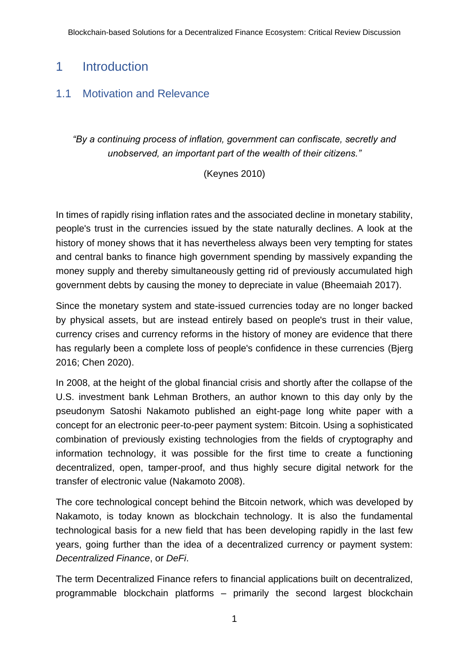## <span id="page-3-0"></span>1 Introduction

#### <span id="page-3-1"></span>1.1 Motivation and Relevance

*"By a continuing process of inflation, government can confiscate, secretly and unobserved, an important part of the wealth of their citizens."*

(Keynes 2010)

In times of rapidly rising inflation rates and the associated decline in monetary stability, people's trust in the currencies issued by the state naturally declines. A look at the history of money shows that it has nevertheless always been very tempting for states and central banks to finance high government spending by massively expanding the money supply and thereby simultaneously getting rid of previously accumulated high government debts by causing the money to depreciate in value (Bheemaiah 2017).

Since the monetary system and state-issued currencies today are no longer backed by physical assets, but are instead entirely based on people's trust in their value, currency crises and currency reforms in the history of money are evidence that there has regularly been a complete loss of people's confidence in these currencies (Bjerg 2016; Chen 2020).

In 2008, at the height of the global financial crisis and shortly after the collapse of the U.S. investment bank Lehman Brothers, an author known to this day only by the pseudonym Satoshi Nakamoto published an eight-page long white paper with a concept for an electronic peer-to-peer payment system: Bitcoin. Using a sophisticated combination of previously existing technologies from the fields of cryptography and information technology, it was possible for the first time to create a functioning decentralized, open, tamper-proof, and thus highly secure digital network for the transfer of electronic value (Nakamoto 2008).

The core technological concept behind the Bitcoin network, which was developed by Nakamoto, is today known as blockchain technology. It is also the fundamental technological basis for a new field that has been developing rapidly in the last few years, going further than the idea of a decentralized currency or payment system: *Decentralized Finance*, or *DeFi*.

The term Decentralized Finance refers to financial applications built on decentralized, programmable blockchain platforms – primarily the second largest blockchain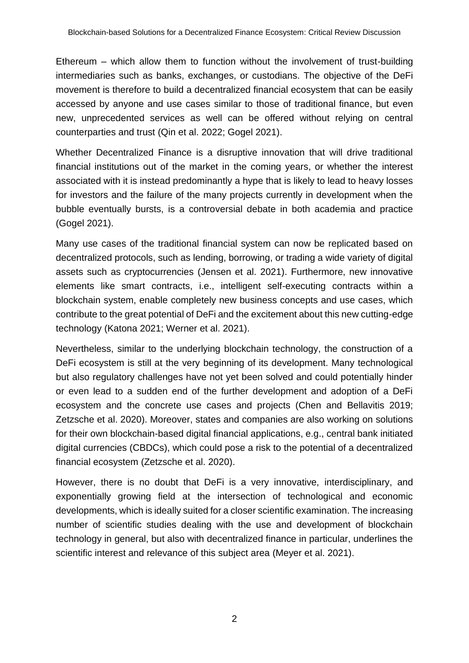Ethereum – which allow them to function without the involvement of trust-building intermediaries such as banks, exchanges, or custodians. The objective of the DeFi movement is therefore to build a decentralized financial ecosystem that can be easily accessed by anyone and use cases similar to those of traditional finance, but even new, unprecedented services as well can be offered without relying on central counterparties and trust (Qin et al. 2022; Gogel 2021).

Whether Decentralized Finance is a disruptive innovation that will drive traditional financial institutions out of the market in the coming years, or whether the interest associated with it is instead predominantly a hype that is likely to lead to heavy losses for investors and the failure of the many projects currently in development when the bubble eventually bursts, is a controversial debate in both academia and practice (Gogel 2021).

Many use cases of the traditional financial system can now be replicated based on decentralized protocols, such as lending, borrowing, or trading a wide variety of digital assets such as cryptocurrencies (Jensen et al. 2021). Furthermore, new innovative elements like smart contracts, i.e., intelligent self-executing contracts within a blockchain system, enable completely new business concepts and use cases, which contribute to the great potential of DeFi and the excitement about this new cutting-edge technology (Katona 2021; Werner et al. 2021).

Nevertheless, similar to the underlying blockchain technology, the construction of a DeFi ecosystem is still at the very beginning of its development. Many technological but also regulatory challenges have not yet been solved and could potentially hinder or even lead to a sudden end of the further development and adoption of a DeFi ecosystem and the concrete use cases and projects (Chen and Bellavitis 2019; Zetzsche et al. 2020). Moreover, states and companies are also working on solutions for their own blockchain-based digital financial applications, e.g., central bank initiated digital currencies (CBDCs), which could pose a risk to the potential of a decentralized financial ecosystem (Zetzsche et al. 2020).

However, there is no doubt that DeFi is a very innovative, interdisciplinary, and exponentially growing field at the intersection of technological and economic developments, which is ideally suited for a closer scientific examination. The increasing number of scientific studies dealing with the use and development of blockchain technology in general, but also with decentralized finance in particular, underlines the scientific interest and relevance of this subject area (Meyer et al. 2021).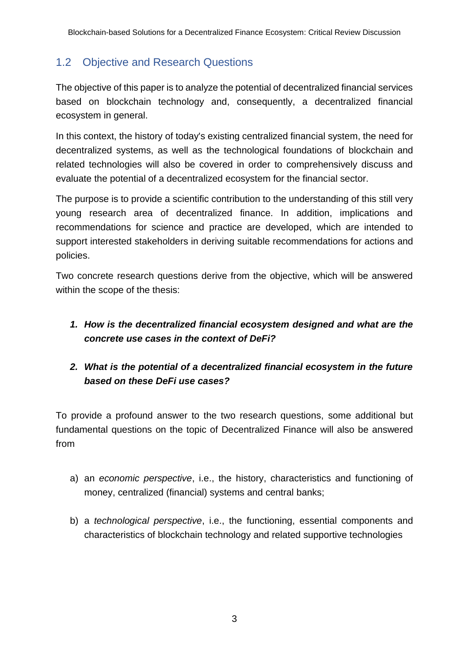## <span id="page-5-0"></span>1.2 Objective and Research Questions

The objective of this paper is to analyze the potential of decentralized financial services based on blockchain technology and, consequently, a decentralized financial ecosystem in general.

In this context, the history of today's existing centralized financial system, the need for decentralized systems, as well as the technological foundations of blockchain and related technologies will also be covered in order to comprehensively discuss and evaluate the potential of a decentralized ecosystem for the financial sector.

The purpose is to provide a scientific contribution to the understanding of this still very young research area of decentralized finance. In addition, implications and recommendations for science and practice are developed, which are intended to support interested stakeholders in deriving suitable recommendations for actions and policies.

Two concrete research questions derive from the objective, which will be answered within the scope of the thesis:

#### *1. How is the decentralized financial ecosystem designed and what are the concrete use cases in the context of DeFi?*

#### *2. What is the potential of a decentralized financial ecosystem in the future based on these DeFi use cases?*

To provide a profound answer to the two research questions, some additional but fundamental questions on the topic of Decentralized Finance will also be answered from

- a) an *economic perspective*, i.e., the history, characteristics and functioning of money, centralized (financial) systems and central banks;
- b) a *technological perspective*, i.e., the functioning, essential components and characteristics of blockchain technology and related supportive technologies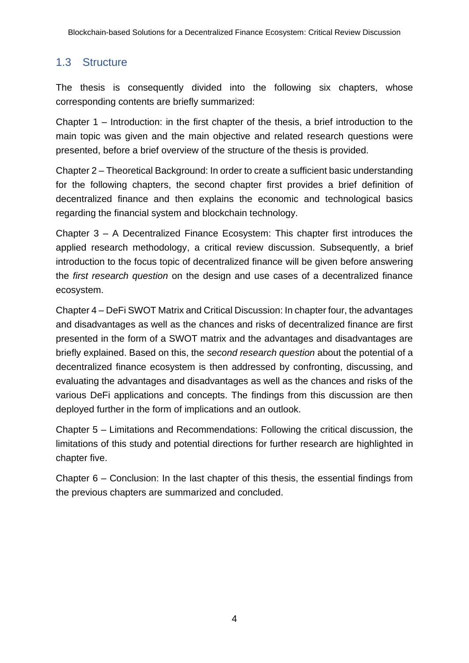### <span id="page-6-0"></span>1.3 Structure

The thesis is consequently divided into the following six chapters, whose corresponding contents are briefly summarized:

Chapter 1 – Introduction: in the first chapter of the thesis, a brief introduction to the main topic was given and the main objective and related research questions were presented, before a brief overview of the structure of the thesis is provided.

Chapter 2 – Theoretical Background: In order to create a sufficient basic understanding for the following chapters, the second chapter first provides a brief definition of decentralized finance and then explains the economic and technological basics regarding the financial system and blockchain technology.

Chapter 3 – A Decentralized Finance Ecosystem: This chapter first introduces the applied research methodology, a critical review discussion. Subsequently, a brief introduction to the focus topic of decentralized finance will be given before answering the *first research question* on the design and use cases of a decentralized finance ecosystem.

Chapter 4 – DeFi SWOT Matrix and Critical Discussion: In chapter four, the advantages and disadvantages as well as the chances and risks of decentralized finance are first presented in the form of a SWOT matrix and the advantages and disadvantages are briefly explained. Based on this, the *second research question* about the potential of a decentralized finance ecosystem is then addressed by confronting, discussing, and evaluating the advantages and disadvantages as well as the chances and risks of the various DeFi applications and concepts. The findings from this discussion are then deployed further in the form of implications and an outlook.

Chapter 5 – Limitations and Recommendations: Following the critical discussion, the limitations of this study and potential directions for further research are highlighted in chapter five.

Chapter 6 – Conclusion: In the last chapter of this thesis, the essential findings from the previous chapters are summarized and concluded.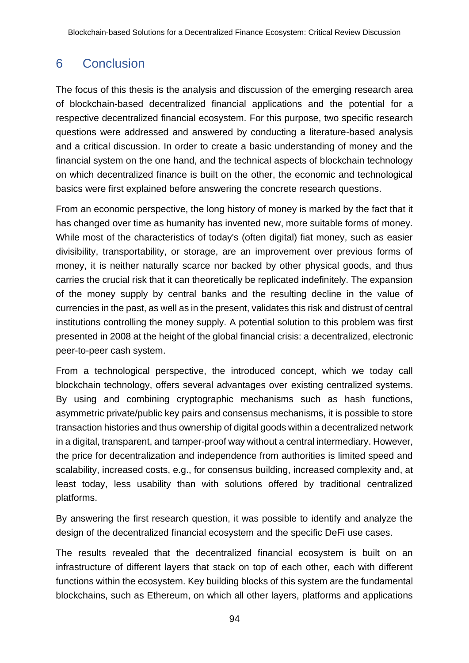# <span id="page-7-0"></span>6 Conclusion

The focus of this thesis is the analysis and discussion of the emerging research area of blockchain-based decentralized financial applications and the potential for a respective decentralized financial ecosystem. For this purpose, two specific research questions were addressed and answered by conducting a literature-based analysis and a critical discussion. In order to create a basic understanding of money and the financial system on the one hand, and the technical aspects of blockchain technology on which decentralized finance is built on the other, the economic and technological basics were first explained before answering the concrete research questions.

From an economic perspective, the long history of money is marked by the fact that it has changed over time as humanity has invented new, more suitable forms of money. While most of the characteristics of today's (often digital) fiat money, such as easier divisibility, transportability, or storage, are an improvement over previous forms of money, it is neither naturally scarce nor backed by other physical goods, and thus carries the crucial risk that it can theoretically be replicated indefinitely. The expansion of the money supply by central banks and the resulting decline in the value of currencies in the past, as well as in the present, validates this risk and distrust of central institutions controlling the money supply. A potential solution to this problem was first presented in 2008 at the height of the global financial crisis: a decentralized, electronic peer-to-peer cash system.

From a technological perspective, the introduced concept, which we today call blockchain technology, offers several advantages over existing centralized systems. By using and combining cryptographic mechanisms such as hash functions, asymmetric private/public key pairs and consensus mechanisms, it is possible to store transaction histories and thus ownership of digital goods within a decentralized network in a digital, transparent, and tamper-proof way without a central intermediary. However, the price for decentralization and independence from authorities is limited speed and scalability, increased costs, e.g., for consensus building, increased complexity and, at least today, less usability than with solutions offered by traditional centralized platforms.

By answering the first research question, it was possible to identify and analyze the design of the decentralized financial ecosystem and the specific DeFi use cases.

The results revealed that the decentralized financial ecosystem is built on an infrastructure of different layers that stack on top of each other, each with different functions within the ecosystem. Key building blocks of this system are the fundamental blockchains, such as Ethereum, on which all other layers, platforms and applications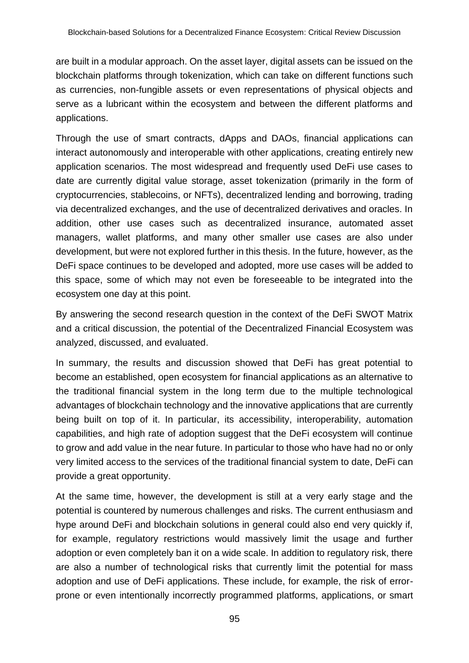are built in a modular approach. On the asset layer, digital assets can be issued on the blockchain platforms through tokenization, which can take on different functions such as currencies, non-fungible assets or even representations of physical objects and serve as a lubricant within the ecosystem and between the different platforms and applications.

Through the use of smart contracts, dApps and DAOs, financial applications can interact autonomously and interoperable with other applications, creating entirely new application scenarios. The most widespread and frequently used DeFi use cases to date are currently digital value storage, asset tokenization (primarily in the form of cryptocurrencies, stablecoins, or NFTs), decentralized lending and borrowing, trading via decentralized exchanges, and the use of decentralized derivatives and oracles. In addition, other use cases such as decentralized insurance, automated asset managers, wallet platforms, and many other smaller use cases are also under development, but were not explored further in this thesis. In the future, however, as the DeFi space continues to be developed and adopted, more use cases will be added to this space, some of which may not even be foreseeable to be integrated into the ecosystem one day at this point.

By answering the second research question in the context of the DeFi SWOT Matrix and a critical discussion, the potential of the Decentralized Financial Ecosystem was analyzed, discussed, and evaluated.

In summary, the results and discussion showed that DeFi has great potential to become an established, open ecosystem for financial applications as an alternative to the traditional financial system in the long term due to the multiple technological advantages of blockchain technology and the innovative applications that are currently being built on top of it. In particular, its accessibility, interoperability, automation capabilities, and high rate of adoption suggest that the DeFi ecosystem will continue to grow and add value in the near future. In particular to those who have had no or only very limited access to the services of the traditional financial system to date, DeFi can provide a great opportunity.

At the same time, however, the development is still at a very early stage and the potential is countered by numerous challenges and risks. The current enthusiasm and hype around DeFi and blockchain solutions in general could also end very quickly if, for example, regulatory restrictions would massively limit the usage and further adoption or even completely ban it on a wide scale. In addition to regulatory risk, there are also a number of technological risks that currently limit the potential for mass adoption and use of DeFi applications. These include, for example, the risk of errorprone or even intentionally incorrectly programmed platforms, applications, or smart